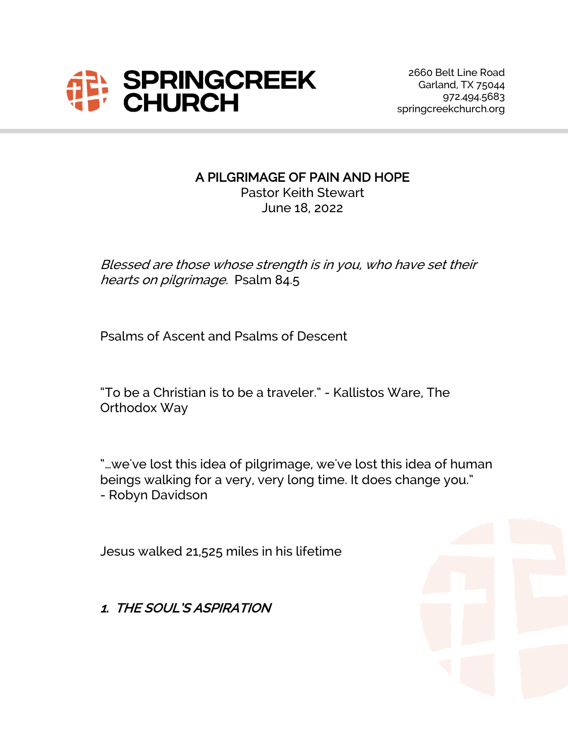

#### A PILGRIMAGE OF PAIN AND HOPE

Pastor Keith Stewart June 18, 2022

Blessed are those whose strength is in you, who have set their hearts on pilgrimage. Psalm 84.5

Psalms of Ascent and Psalms of Descent

"To be a Christian is to be a traveler." - Kallistos Ware, The Orthodox Way

"…we've lost this idea of pilgrimage, we've lost this idea of human beings walking for a very, very long time. It does change you." - Robyn Davidson

Jesus walked 21,525 miles in his lifetime

1. THE SOUL'S ASPIRATION

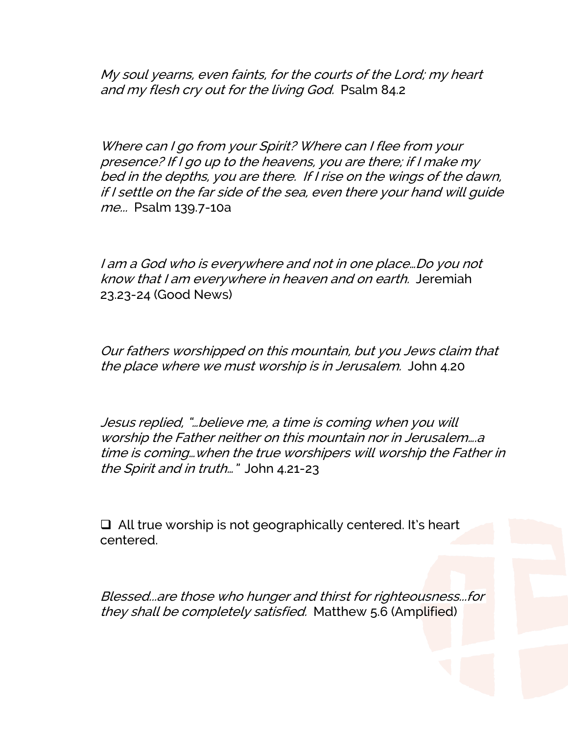My soul yearns, even faints, for the courts of the Lord; my heart and my flesh cry out for the living God. Psalm 84.2

Where can I go from your Spirit? Where can I flee from your presence? If I go up to the heavens, you are there; if I make my bed in the depths, you are there. If I rise on the wings of the dawn, if I settle on the far side of the sea, even there your hand will guide me... Psalm 139.7-10a

I am <sup>a</sup> God who is everywhere and not in one place…Do you not know that <sup>I</sup> am everywhere in heaven and on earth. Jeremiah 23.23-24 (Good News)

Our fathers worshipped on this mountain, but you Jews claim that the place where we must worship is in Jerusalem. John 4.20

Jesus replied, "…believe me, <sup>a</sup> time is coming when you will worship the Father neither on this mountain nor in Jerusalem….a time is coming…when the true worshipers will worship the Father in the Spirit and in truth…" John 4.21-23

 $\Box$  All true worship is not geographically centered. It's heart centered.

Blessed...are those who hunger and thirst for righteousness...for they shall be completely satisfied. Matthew 5.6 (Amplified)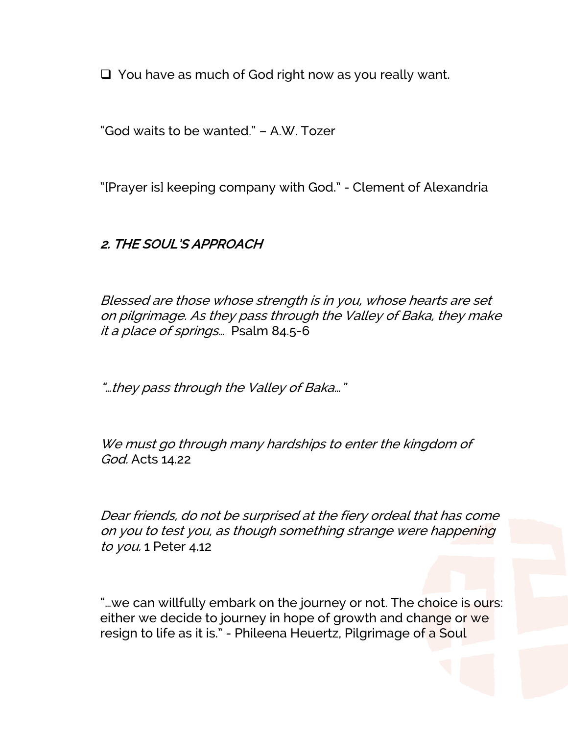$\Box$  You have as much of God right now as you really want.

"God waits to be wanted." – A.W. Tozer

"[Prayer is] keeping company with God." - Clement of Alexandria

## 2. THE SOUL'S APPROACH

Blessed are those whose strength is in you, whose hearts are set on pilgrimage. As they pass through the Valley of Baka, they make it <sup>a</sup> place of springs… Psalm 84.5-6

"…they pass through the Valley of Baka…"

We must go through many hardships to enter the kingdom of God. Acts 14.22

Dear friends, do not be surprised at the fiery ordeal that has come on you to test you, as though something strange were happening to you. 1 Peter 4.12

"...we can willfully embark on the journey or not. The choice is ours: either we decide to journey in hope of growth and change or we resign to life as it is." - Phileena Heuertz, Pilgrimage of a Soul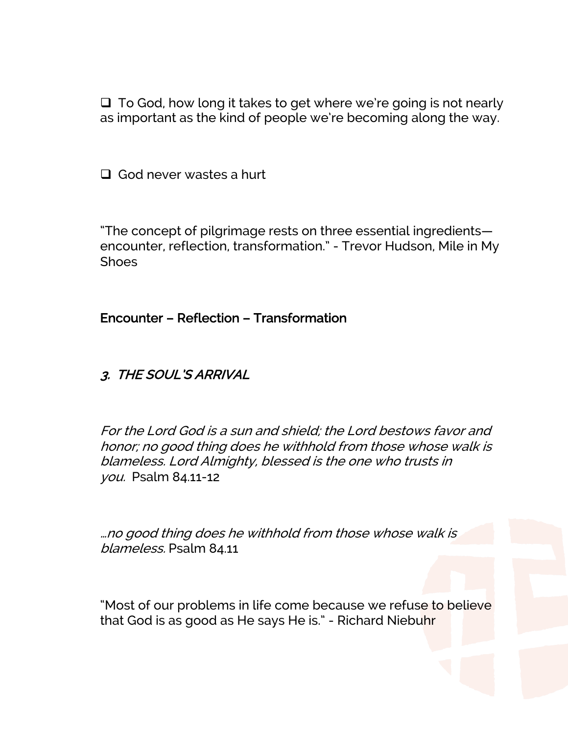$\Box$  To God, how long it takes to get where we're going is not nearly as important as the kind of people we're becoming along the way.

 $\Box$  God never wastes a hurt

"The concept of pilgrimage rests on three essential ingredients encounter, reflection, transformation." - Trevor Hudson, Mile in My **Shoes** 

Encounter – Reflection – Transformation

#### 3. THE SOUL'S ARRIVAL

For the Lord God is <sup>a</sup> sun and shield; the Lord bestows favor and honor; no good thing does he withhold from those whose walk is blameless. Lord Almighty, blessed is the one who trusts in you. Psalm 84.11-12

…no good thing does he withhold from those whose walk is blameless. Psalm 84.11

"Most of our problems in life come because we refuse to believe that God is as good as He says He is." - Richard Niebuhr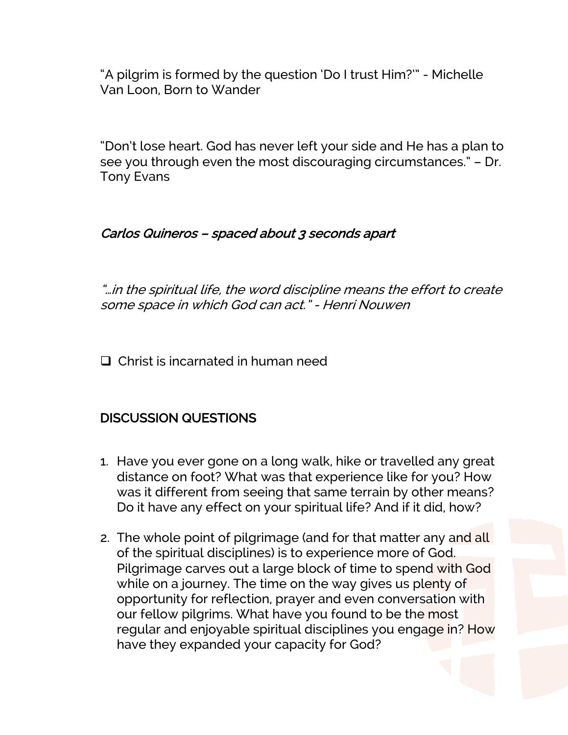"A pilgrim is formed by the question 'Do I trust Him?'" - Michelle Van Loon, Born to Wander

"Don't lose heart. God has never left your side and He has a plan to see you through even the most discouraging circumstances." – Dr. Tony Evans

### Carlos Quineros – spaced about 3 seconds apart

"…in the spiritual life, the word discipline means the effort to create some space in which God can act." - Henri Nouwen

 $\Box$  Christ is incarnated in human need

# DISCUSSION QUESTIONS

- 1. Have you ever gone on a long walk, hike or travelled any great distance on foot? What was that experience like for you? How was it different from seeing that same terrain by other means? Do it have any effect on your spiritual life? And if it did, how?
- 2. The whole point of pilgrimage (and for that matter any and all of the spiritual disciplines) is to experience more of God. Pilgrimage carves out a large block of time to spend with God while on a journey. The time on the way gives us plenty of opportunity for reflection, prayer and even conversation with our fellow pilgrims. What have you found to be the most regular and enjoyable spiritual disciplines you engage in? How have they expanded your capacity for God?